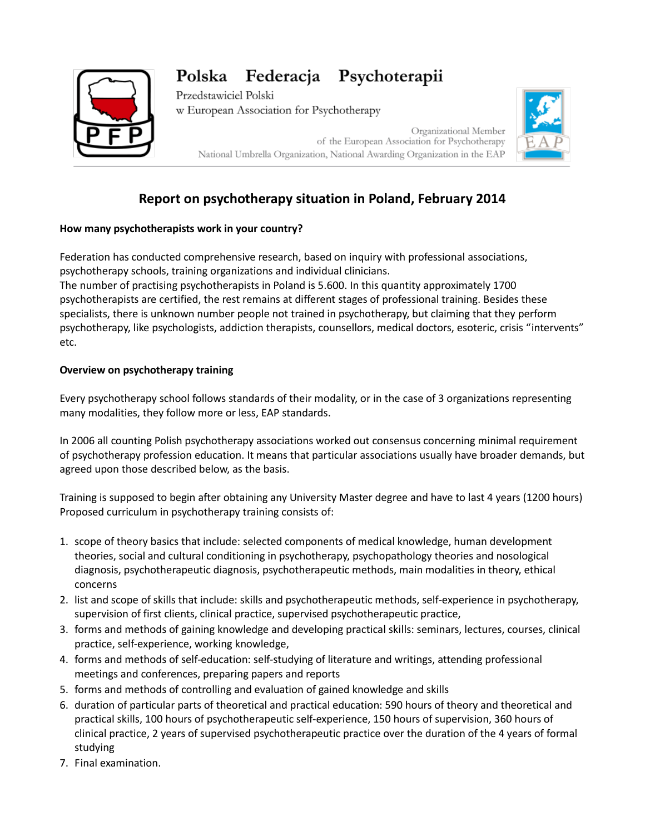# Polska Federacja Psychoterapii



Przedstawiciel Polski w European Association for Psychotherapy

> Organizational Member of the European Association for Psychotherapy National Umbrella Organization, National Awarding Organization in the EAP



# **Report on psychotherapy situation in Poland, February 2014**

# **How many psychotherapists work in your country?**

Federation has conducted comprehensive research, based on inquiry with professional associations, psychotherapy schools, training organizations and individual clinicians.

The number of practising psychotherapists in Poland is 5.600. In this quantity approximately 1700 psychotherapists are certified, the rest remains at different stages of professional training. Besides these specialists, there is unknown number people not trained in psychotherapy, but claiming that they perform psychotherapy, like psychologists, addiction therapists, counsellors, medical doctors, esoteric, crisis "intervents" etc.

#### **Overview on psychotherapy training**

Every psychotherapy school follows standards of their modality, or in the case of 3 organizations representing many modalities, they follow more or less, EAP standards.

In 2006 all counting Polish psychotherapy associations worked out consensus concerning minimal requirement of psychotherapy profession education. It means that particular associations usually have broader demands, but agreed upon those described below, as the basis.

Training is supposed to begin after obtaining any University Master degree and have to last 4 years (1200 hours) Proposed curriculum in psychotherapy training consists of:

- 1. scope of theory basics that include: selected components of medical knowledge, human development theories, social and cultural conditioning in psychotherapy, psychopathology theories and nosological diagnosis, psychotherapeutic diagnosis, psychotherapeutic methods, main modalities in theory, ethical concerns
- 2. list and scope of skills that include: skills and psychotherapeutic methods, self-experience in psychotherapy, supervision of first clients, clinical practice, supervised psychotherapeutic practice,
- 3. forms and methods of gaining knowledge and developing practical skills: seminars, lectures, courses, clinical practice, self-experience, working knowledge,
- 4. forms and methods of self-education: self-studying of literature and writings, attending professional meetings and conferences, preparing papers and reports
- 5. forms and methods of controlling and evaluation of gained knowledge and skills
- 6. duration of particular parts of theoretical and practical education: 590 hours of theory and theoretical and practical skills, 100 hours of psychotherapeutic self-experience, 150 hours of supervision, 360 hours of clinical practice, 2 years of supervised psychotherapeutic practice over the duration of the 4 years of formal studying
- 7. Final examination.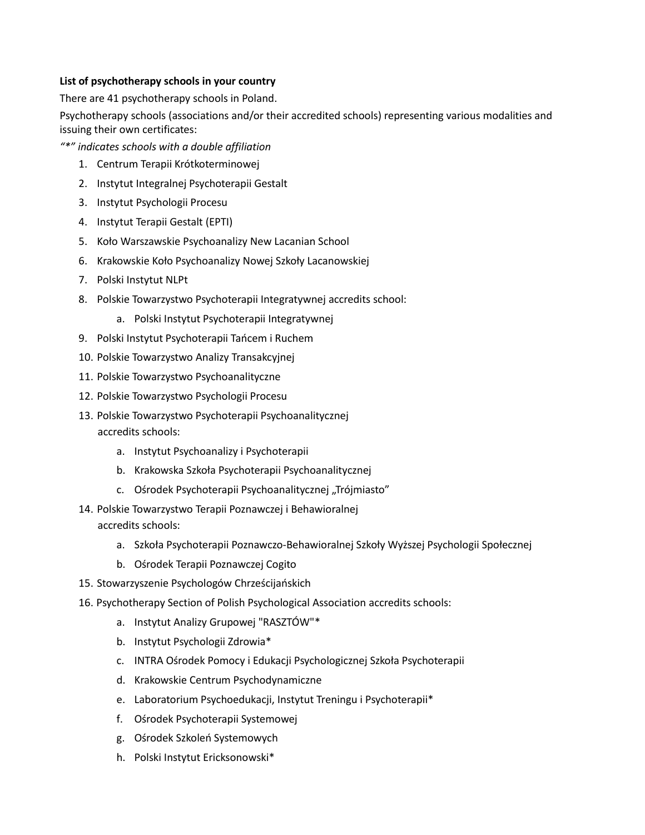### **List of psychotherapy schools in your country**

There are 41 psychotherapy schools in Poland.

Psychotherapy schools (associations and/or their accredited schools) representing various modalities and issuing their own certificates:

*"\*" indicates schools with a double affiliation*

- 1. Centrum Terapii Krótkoterminowej
- 2. Instytut Integralnej Psychoterapii Gestalt
- 3. Instytut Psychologii Procesu
- 4. Instytut Terapii Gestalt (EPTI)
- 5. Koło Warszawskie Psychoanalizy New Lacanian School
- 6. Krakowskie Koło Psychoanalizy Nowej Szkoły Lacanowskiej
- 7. Polski Instytut NLPt
- 8. Polskie Towarzystwo Psychoterapii Integratywnej accredits school:
	- a. Polski Instytut Psychoterapii Integratywnej
- 9. Polski Instytut Psychoterapii Tańcem i Ruchem
- 10. Polskie Towarzystwo Analizy Transakcyjnej
- 11. Polskie Towarzystwo Psychoanalityczne
- 12. Polskie Towarzystwo Psychologii Procesu
- 13. Polskie Towarzystwo Psychoterapii Psychoanalitycznej

accredits schools:

- a. Instytut Psychoanalizy i Psychoterapii
- b. Krakowska Szkoła Psychoterapii Psychoanalitycznej
- c. Ośrodek Psychoterapii Psychoanalitycznej "Trójmiasto"
- 14. Polskie Towarzystwo Terapii Poznawczej i Behawioralnej accredits schools:
	- a. Szkoła Psychoterapii Poznawczo-Behawioralnej Szkoły Wyższej Psychologii Społecznej
	- b. Ośrodek Terapii Poznawczej Cogito
- 15. Stowarzyszenie Psychologów Chrześcijańskich
- 16. Psychotherapy Section of Polish Psychological Association accredits schools:
	- a. Instytut Analizy Grupowej "RASZTÓW"\*
	- b. Instytut Psychologii Zdrowia\*
	- c. INTRA Ośrodek Pomocy i Edukacji Psychologicznej Szkoła Psychoterapii
	- d. Krakowskie Centrum Psychodynamiczne
	- e. Laboratorium Psychoedukacji, Instytut Treningu i Psychoterapii\*
	- f. Ośrodek Psychoterapii Systemowej
	- g. Ośrodek Szkoleń Systemowych
	- h. Polski Instytut Ericksonowski\*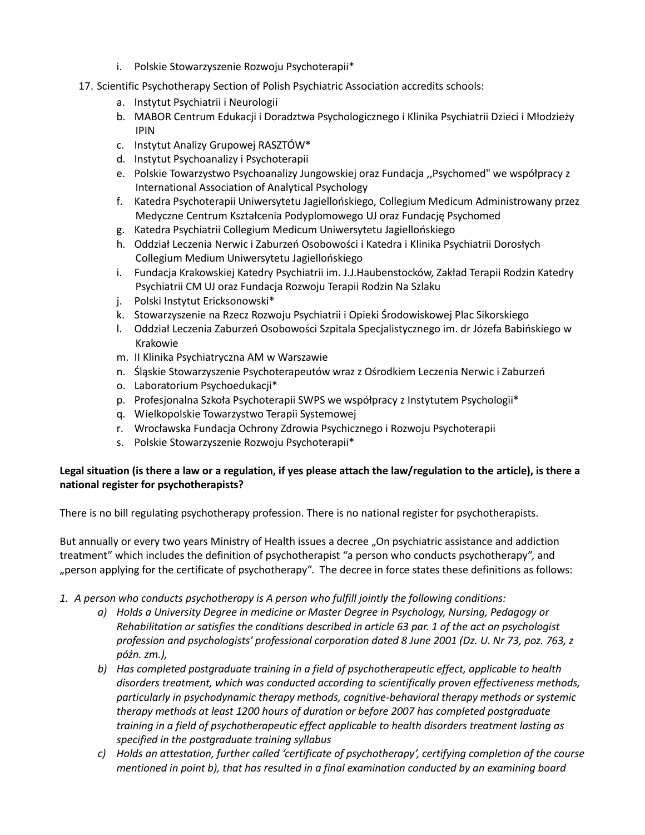- i. Polskie Stowarzyszenie Rozwoju Psychoterapii\*
- 17. Scientific Psychotherapy Section of Polish Psychiatric Association accredits schools:
	- a. Instytut Psychiatrii i Neurologii
	- b. MABOR Centrum Edukacji i Doradztwa Psychologicznego i Klinika Psychiatrii Dzieci i Młodzieży IPIN
	- c. Instytut Analizy Grupowej RASZTÓW\*
	- d. Instytut Psychoanalizy i Psychoterapii
	- e. Polskie Towarzystwo Psychoanalizy Jungowskiej oraz Fundacja ,,Psychomed" we współpracy z International Association of Analytical Psychology
	- f. Katedra Psychoterapii Uniwersytetu Jagiellońskiego, Collegium Medicum Administrowany przez Medyczne Centrum Kształcenia Podyplomowego UJ oraz Fundację Psychomed
	- g. Katedra Psychiatrii Collegium Medicum Uniwersytetu Jagiellońskiego
	- h. Oddział Leczenia Nerwic i Zaburzeń Osobowości i Katedra i Klinika Psychiatrii Dorosłych Collegium Medium Uniwersytetu Jagiellońskiego
	- i. Fundacja Krakowskiej Katedry Psychiatrii im. J.J.Haubenstocków, Zakład Terapii Rodzin Katedry Psychiatrii CM UJ oraz Fundacja Rozwoju Terapii Rodzin Na Szlaku
	- j. Polski Instytut Ericksonowski\*
	- k. Stowarzyszenie na Rzecz Rozwoju Psychiatrii i Opieki Środowiskowej Plac Sikorskiego
	- l. Oddział Leczenia Zaburzeń Osobowości Szpitala Specjalistycznego im. dr Józefa Babińskiego w Krakowie
	- m. II Klinika Psychiatryczna AM w Warszawie
	- n. Śląskie Stowarzyszenie Psychoterapeutów wraz z Ośrodkiem Leczenia Nerwic i Zaburzeń
	- o. Laboratorium Psychoedukacji\*
	- p. Profesjonalna Szkoła Psychoterapii SWPS we współpracy z Instytutem Psychologii\*
	- q. Wielkopolskie Towarzystwo Terapii Systemowej
	- r. Wrocławska Fundacja Ochrony Zdrowia Psychicznego i Rozwoju Psychoterapii
	- s. Polskie Stowarzyszenie Rozwoju Psychoterapii\*

### **Legal situation (is there a law or a regulation, if yes please attach the law/regulation to the article), is there a national register for psychotherapists?**

There is no bill regulating psychotherapy profession. There is no national register for psychotherapists.

But annually or every two years Ministry of Health issues a decree "On psychiatric assistance and addiction treatment" which includes the definition of psychotherapist "a person who conducts psychotherapy", and "person applying for the certificate of psychotherapy". The decree in force states these definitions as follows:

- *1. A person who conducts psychotherapy is A person who fulfill jointly the following conditions:*
	- *a) Holds a University Degree in medicine or Master Degree in Psychology, Nursing, Pedagogy or Rehabilitation or satisfies the conditions described in article 63 par. 1 of the act on psychologist profession and psychologists' professional corporation dated 8 June 2001 (Dz. U. Nr 73, poz. 763, z późn. zm.),*
	- *b) Has completed postgraduate training in a field of psychotherapeutic effect, applicable to health disorders treatment, which was conducted according to scientifically proven effectiveness methods, particularly in psychodynamic therapy methods, cognitive-behavioral therapy methods or systemic therapy methods at least 1200 hours of duration or before 2007 has completed postgraduate training in a field of psychotherapeutic effect applicable to health disorders treatment lasting as specified in the postgraduate training syllabus*
	- *c) Holds an attestation, further called 'certificate of psychotherapy', certifying completion of the course mentioned in point b), that has resulted in a final examination conducted by an examining board*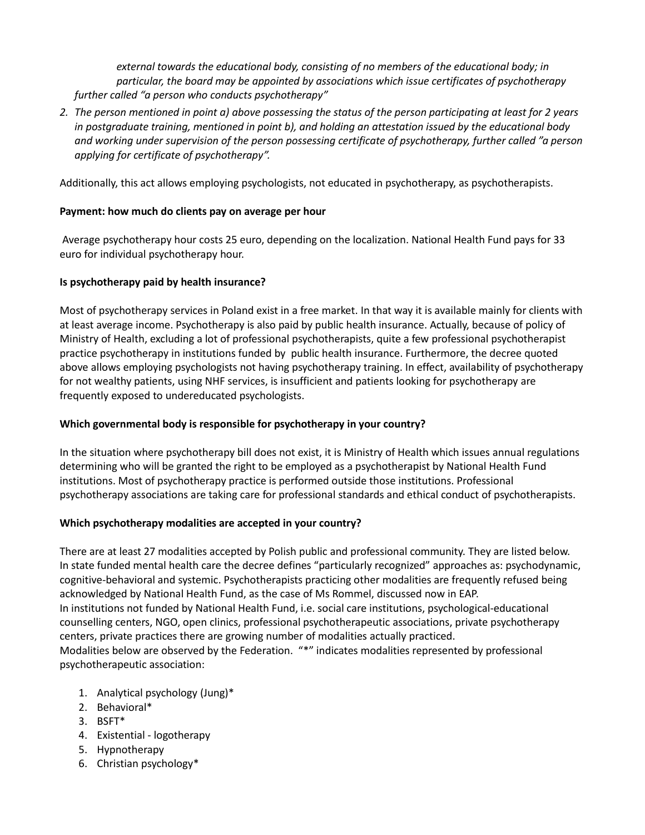*external towards the educational body, consisting of no members of the educational body; in particular, the board may be appointed by associations which issue certificates of psychotherapy further called "a person who conducts psychotherapy"* 

*2. The person mentioned in point a) above possessing the status of the person participating at least for 2 years in postgraduate training, mentioned in point b), and holding an attestation issued by the educational body and working under supervision of the person possessing certificate of psychotherapy, further called "a person applying for certificate of psychotherapy".* 

Additionally, this act allows employing psychologists, not educated in psychotherapy, as psychotherapists.

#### **Payment: how much do clients pay on average per hour**

Average psychotherapy hour costs 25 euro, depending on the localization. National Health Fund pays for 33 euro for individual psychotherapy hour.

### **Is psychotherapy paid by health insurance?**

Most of psychotherapy services in Poland exist in a free market. In that way it is available mainly for clients with at least average income. Psychotherapy is also paid by public health insurance. Actually, because of policy of Ministry of Health, excluding a lot of professional psychotherapists, quite a few professional psychotherapist practice psychotherapy in institutions funded by public health insurance. Furthermore, the decree quoted above allows employing psychologists not having psychotherapy training. In effect, availability of psychotherapy for not wealthy patients, using NHF services, is insufficient and patients looking for psychotherapy are frequently exposed to undereducated psychologists.

## **Which governmental body is responsible for psychotherapy in your country?**

In the situation where psychotherapy bill does not exist, it is Ministry of Health which issues annual regulations determining who will be granted the right to be employed as a psychotherapist by National Health Fund institutions. Most of psychotherapy practice is performed outside those institutions. Professional psychotherapy associations are taking care for professional standards and ethical conduct of psychotherapists.

#### **Which psychotherapy modalities are accepted in your country?**

There are at least 27 modalities accepted by Polish public and professional community. They are listed below. In state funded mental health care the decree defines "particularly recognized" approaches as: psychodynamic, cognitive-behavioral and systemic. Psychotherapists practicing other modalities are frequently refused being acknowledged by National Health Fund, as the case of Ms Rommel, discussed now in EAP. In institutions not funded by National Health Fund, i.e. social care institutions, psychological-educational counselling centers, NGO, open clinics, professional psychotherapeutic associations, private psychotherapy centers, private practices there are growing number of modalities actually practiced. Modalities below are observed by the Federation. "\*" indicates modalities represented by professional psychotherapeutic association:

- 1. Analytical psychology (Jung)\*
- 2. Behavioral\*
- 3. BSFT\*
- 4. Existential logotherapy
- 5. Hypnotherapy
- 6. Christian psychology\*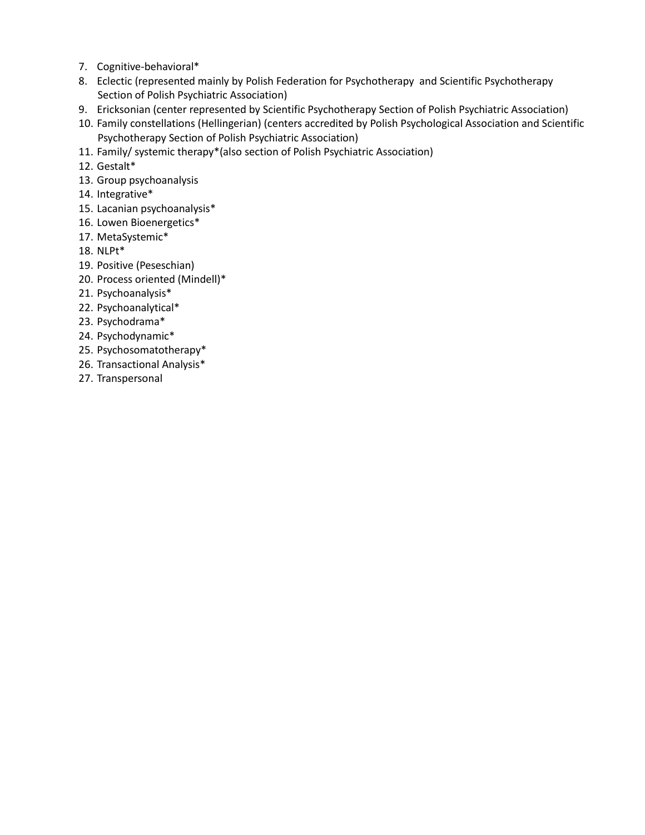- 7. Cognitive-behavioral\*
- 8. Eclectic (represented mainly by Polish Federation for Psychotherapy and Scientific Psychotherapy Section of Polish Psychiatric Association)
- 9. Ericksonian (center represented by Scientific Psychotherapy Section of Polish Psychiatric Association)
- 10. Family constellations (Hellingerian) (centers accredited by Polish Psychological Association and Scientific Psychotherapy Section of Polish Psychiatric Association)
- 11. Family/ systemic therapy\*(also section of Polish Psychiatric Association)
- 12. Gestalt\*
- 13. Group psychoanalysis
- 14. Integrative\*
- 15. Lacanian psychoanalysis\*
- 16. Lowen Bioenergetics\*
- 17. MetaSystemic\*
- 18. NLPt\*
- 19. Positive (Peseschian)
- 20. Process oriented (Mindell)\*
- 21. Psychoanalysis\*
- 22. Psychoanalytical\*
- 23. Psychodrama\*
- 24. Psychodynamic\*
- 25. Psychosomatotherapy\*
- 26. Transactional Analysis\*
- 27. Transpersonal